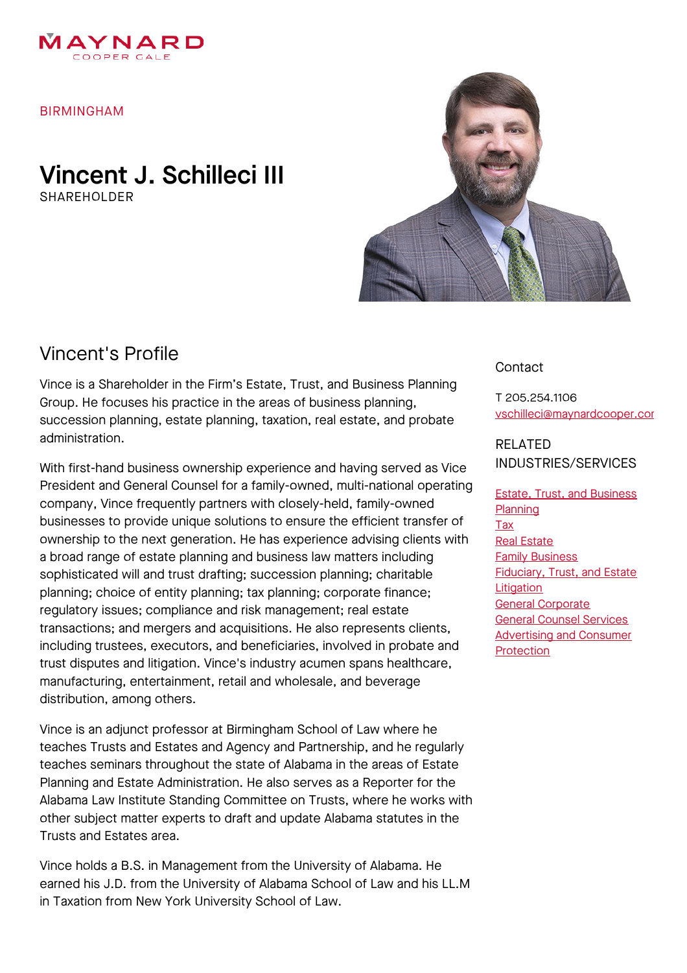

#### BIRMINGHAM

# Vincent J. Schilleci III SHAREHOLDER



# Vincent's Profile

Vince is a Shareholder in the Firm's Estate, Trust, and Business Planning Group. He focuses his practice in the areas of business planning, succession planning, estate planning, taxation, real estate, and probate administration.

With first-hand business ownership experience and having served as Vice President and General Counsel for a family-owned, multi-national operating company, Vince frequently partners with closely-held, family-owned businesses to provide unique solutions to ensure the efficient transfer of ownership to the next generation. He has experience advising clients with a broad range of estate planning and business law matters including sophisticated will and trust drafting; succession planning; charitable planning; choice of entity planning; tax planning; corporate finance; regulatory issues; compliance and risk management; real estate transactions; and mergers and acquisitions. He also represents clients, including trustees, executors, and beneficiaries, involved in probate and trust disputes and litigation. Vince's industry acumen spans healthcare, manufacturing, entertainment, retail and wholesale, and beverage distribution, among others.

Vince is an adjunct professor at Birmingham School of Law where he teaches Trusts and Estates and Agency and Partnership, and he regularly teaches seminars throughout the state of Alabama in the areas of Estate Planning and Estate Administration. He also serves as a Reporter for the Alabama Law Institute Standing Committee on Trusts, where he works with other subject matter experts to draft and update Alabama statutes in the Trusts and Estates area.

Vince holds a B.S. in Management from the University of Alabama. He earned his J.D. from the University of Alabama School of Law and his LL.M in Taxation from New York University School of Law.

#### Contact

T 205.254.1106 vschilleci@maynardcooper.cor

### RELATED INDUSTRIES/SERVICES

Estate, Trust, and [Business](https://www.maynardcooper.com/services/estate-trust-and-business-planning) **Planning** [Tax](https://www.maynardcooper.com/services/tax) Real [Estate](https://www.maynardcooper.com/services/real-estate) Family [Business](https://www.maynardcooper.com/services/family-business) [Fiduciary,](https://www.maynardcooper.com/services/fiduciary-trust-estate-litigation) Trust, and Estate **Litigation** General [Corporate](https://www.maynardcooper.com/services/general-corporate) General Counsel [Services](https://www.maynardcooper.com/services/general-counsel-services) [Advertising](https://www.maynardcooper.com/services/advertising-and-consumer-protection) and Consumer **Protection**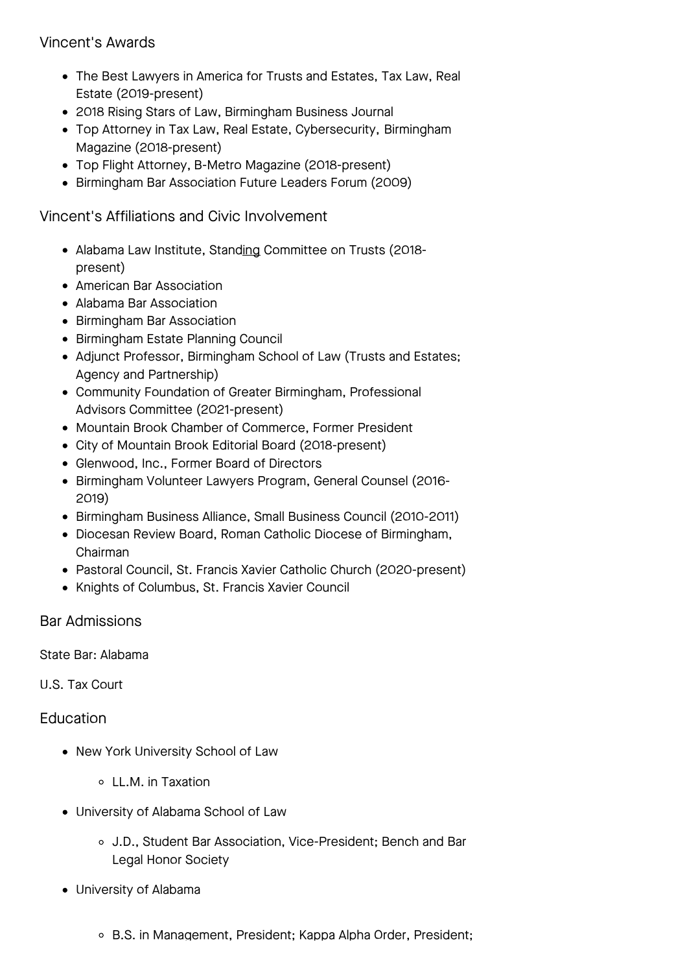## Vincent's Awards

- The Best Lawyers in America for Trusts and Estates, Tax Law, Real Estate (2019-present)
- 2018 Rising Stars of Law, Birmingham Business Journal
- Top Attorney in Tax Law, Real Estate, Cybersecurity, Birmingham Magazine (2018-present)
- Top Flight Attorney, B-Metro Magazine (2018-present)
- Birmingham Bar Association Future Leaders Forum (2009)

Vincent's Affiliations and Civic Involvement

- Alabama Law Institute, Standing Committee on Trusts (2018 present)
- American Bar Association
- Alabama Bar Association
- Birmingham Bar Association
- Birmingham Estate Planning Council
- Adjunct Professor, Birmingham School of Law (Trusts and Estates; Agency and Partnership)
- Community Foundation of Greater Birmingham, Professional Advisors Committee (2021-present)
- Mountain Brook Chamber of Commerce, Former President
- City of Mountain Brook Editorial Board (2018-present)
- Glenwood, Inc., Former Board of Directors
- Birmingham Volunteer Lawyers Program, General Counsel (2016- 2019)
- Birmingham Business Alliance, Small Business Council (2010-2011)
- Diocesan Review Board, Roman Catholic Diocese of Birmingham, Chairman
- Pastoral Council, St. Francis Xavier Catholic Church (2020-present)
- Knights of Columbus, St. Francis Xavier Council

## Bar Admissions

#### State Bar: Alabama

U.S. Tax Court

## Education

- New York University School of Law
	- LL.M. in Taxation
- University of Alabama School of Law
	- J.D., Student Bar Association, Vice-President; Bench and Bar Legal Honor Society
- University of Alabama
	- B.S. in Management, President; Kappa Alpha Order, President;